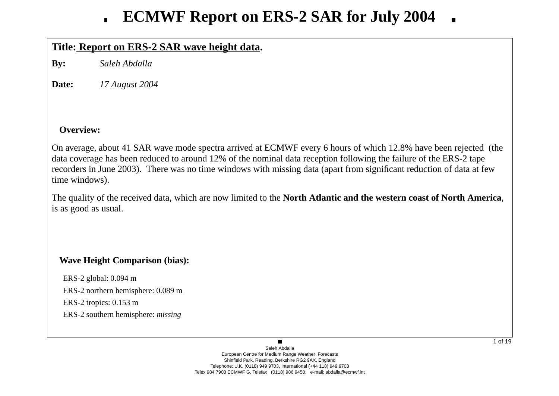## **Title: Report on ERS-2 SAR wa ve height data.**

**By:** *Saleh Abdalla*

**Date:***17 August 2004*

### **Overview:**

On average, about 41 SAR wave mode spectra arrived at ECMWF every 6 hours of which 12.8% have been rejected (the data co verage has been reduced to around 12% of the nominal data reception following the failure of the ERS-2 tape recorders in June 2003). There was no time windows with missing data (apart from significant reduction of data at fe w time windows).

The quality of the recei ved data, which are now limited to the **North Atlantic and the western coast of North America**, is as good as usual.

## **Wave Height Comparison (bias):**

ERS-2 global: 0.094 m ERS-2 northern hemisphere: 0.089 m ERS-2 tropics: 0.153 m ERS-2 southern hemisphere: *missing*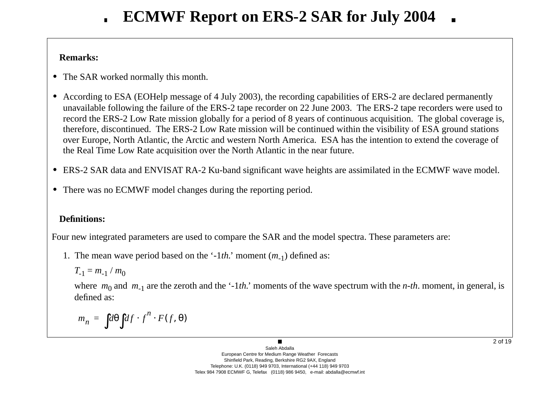### **Remarks:**

- **•** The SAR worked normally this month.
- **•** According to ESA (EOHelp message of 4 July 2003), the recording capabilities of ERS-2 are declared permanently una vailable following the failure of the ERS-2 tape recorder on 22 June 2003. The ERS-2 tape recorders were used to record the ERS-2 Low Rate mission globally for a period of 8 years of continuous acquisition. The global coverage is, therefore, discontinued. The ERS-2 Low Rate mission will be continued within the visibility of ESA ground stations o ver Europe, North Atlantic, the Arctic and western North America. ESA has the intention to extend the co verage of the Real Time Low Rate acquisition o ver the North Atlantic in the near future.
- ERS-2 SAR data and ENVISAT RA-2 Ku-band significant wave heights are assimilated in the ECMWF wave model.
- **•** There was no ECMWF model changes during the reporting period.

### **Definitions:**

Four new integrated parameters are used to compare the SAR and the model spectra. These parameters are:

1. The mean wave period based on the '-1*th*.' moment (*m*<sub>-1</sub>) defined as:

$$
T_{-1}=m_{-1}/m_0
$$

where  $m_0$  and  $m_{-1}$  are the zeroth and the '-1*th*.' moments of the wave spectrum with the *n-th*. moment, in general, is defined as:

$$
m_n = \int d\theta \int df \cdot f^n \cdot F(f, \theta)
$$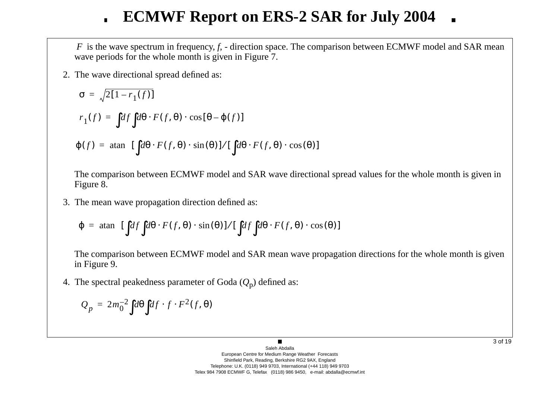*F* is the wave spectrum in frequency, *f*, - direction space. The comparison between ECMWF model and SAR mean wave periods for the whole month is given in Figure 7.

2. The w a ve directional spread defined as:

$$
\sigma = \sqrt{2[1 - r_1(f)]}
$$
  
\n
$$
r_1(f) = \int df \int d\theta \cdot F(f, \theta) \cdot \cos[\theta - \varphi(f)]
$$
  
\n
$$
\varphi(f) = \operatorname{atan} \left\{ [\int d\theta \cdot F(f, \theta) \cdot \sin(\theta)] / [\int d\theta \cdot F(f, \theta) \cdot \cos(\theta)] \right\}
$$

The comparison between ECMWF model and SAR wave directional spread values for the whole month is given in Figure 8.

3. The mean w a ve propagation direction defined as:

$$
\varphi = \text{atan}\Bigg\{ [\int df \int d\theta \cdot F(f, \theta) \cdot \sin(\theta)] / [\int df \int d\theta \cdot F(f, \theta) \cdot \cos(\theta)] \Bigg\}
$$

The comparison between ECMWF model and SAR mean wave propagation directions for the whole month is given in Figure 9.

4. The spectral peakedness parameter of Goda ( *Q* <sup>p</sup>) defined as:

$$
Q_p = 2m_0^{-2} \int d\theta \int df \cdot f \cdot F^2(f, \theta)
$$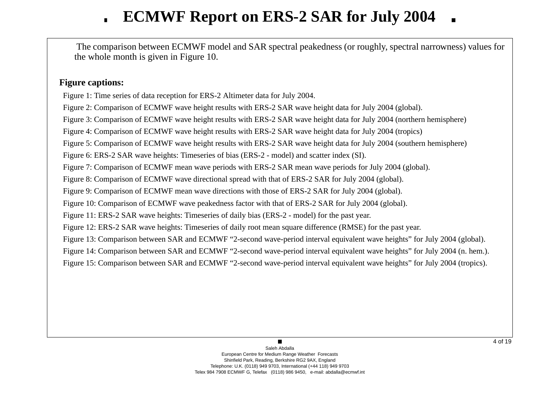The comparison between ECMWF model and SAR spectral peakedness (or roughly, spectral narrowness) values for the whole month is gi ven in Figure 10.

### **Figure captions:**

Figure 1: Time series of data reception for ERS-2 Altimeter data for July 2004.

Figure 2: Comparison of ECMWF wave height results with ERS-2 SAR wave height data for July 2004 (global).

Figure 3: Comparison of ECMWF wave height results with ERS-2 SAR wave height data for July 2004 (northern hemisphere)

Figure 4: Comparison of ECMWF wave height results with ERS-2 SAR wave height data for July 2004 (tropics)

Figure 5: Comparison of ECMWF wave height results with ERS-2 SAR wave height data for July 2004 (southern hemisphere)

Figure 6: ERS-2 SAR wave heights: Timeseries of bias (ERS-2 - model) and scatter index (SI).

Figure 7: Comparison of ECMWF mean wave periods with ERS-2 SAR mean wave periods for July 2004 (global).

Figure 8: Comparison of ECMWF wave directional spread with that of ERS-2 SAR for July 2004 (global).

Figure 9: Comparison of ECMWF mean wave directions with those of ERS-2 SAR for July 2004 (global).

Figure 10: Comparison of ECMWF wave peakedness factor with that of ERS-2 SAR for July 2004 (global).

Figure 11: ERS-2 SAR wave heights: Timeseries of daily bias (ERS-2 - model) for the past year.

Figure 12: ERS-2 SAR wave heights: Timeseries of daily root mean square difference (RMSE) for the past year.

Figure 13: Comparison between SAR and ECMWF "2-second wave-period interval equivalent wave heights" for July 2004 (global).

Figure 14: Comparison between SAR and ECMWF "2-second wave-period interval equivalent wave heights" for July 2004 (n. hem.).

Figure 15: Comparison between SAR and ECMWF "2-second wave-period interval equivalent wave heights" for July 2004 (tropics).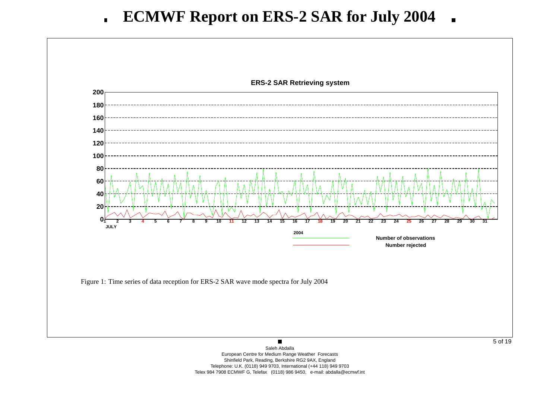

European Centre for Medium Range Weather Forecasts Shinfield Park, Reading, Berkshire RG2 9AX, England Telephone: U.K. (0118) 949 9703, International (+44 118) 949 9703 Telex 984 7908 ECMWF G, Telefax (0118) 986 9450, e-mail: abdalla@ecmwf.int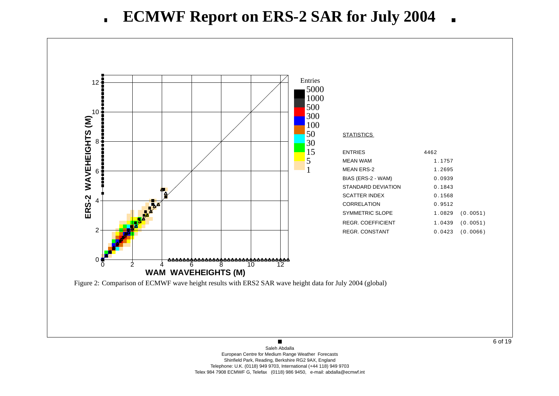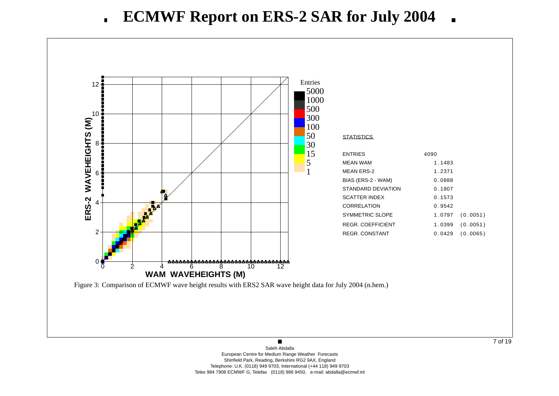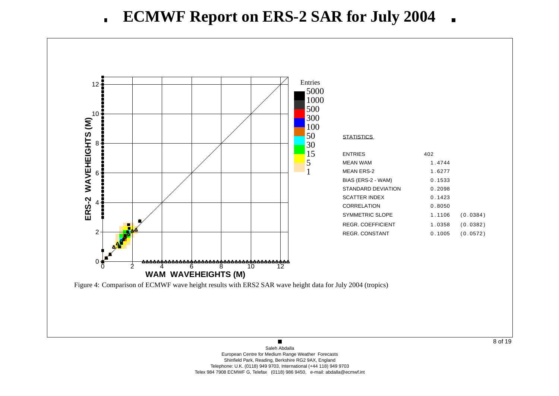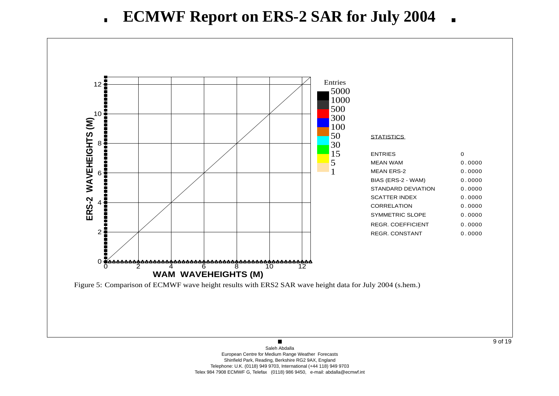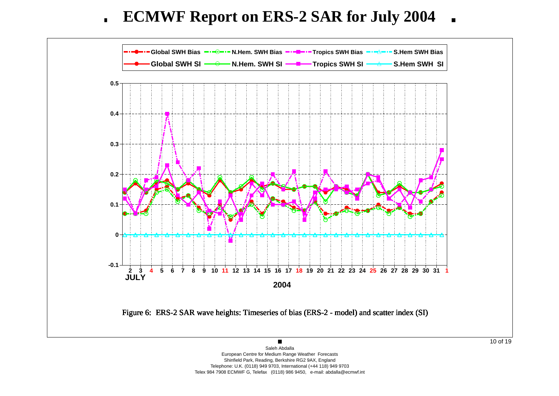**ECMWF Report on ERS-2 SAR for July 2004**  $\blacksquare$ 



European Centre for Medium Range Weather Forecasts Shinfield Park, Reading, Berkshire RG2 9AX, England Telephone: U.K. (0118) 949 9703, International (+44 118) 949 9703 Telex 984 7908 ECMWF G, Telefax (0118) 986 9450, e-mail: abdalla@ecmwf.int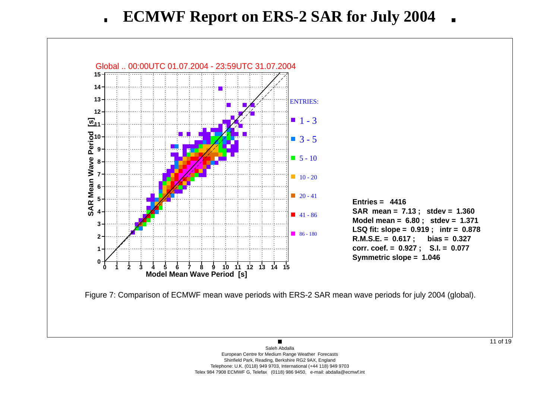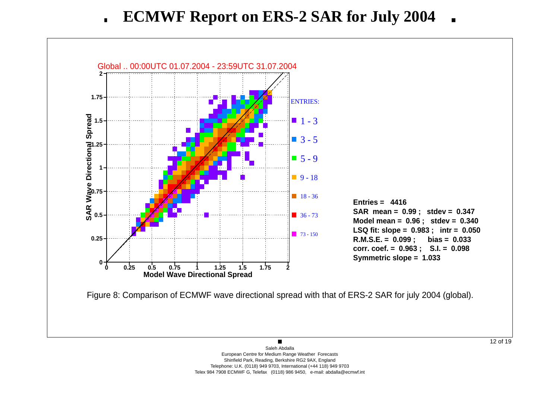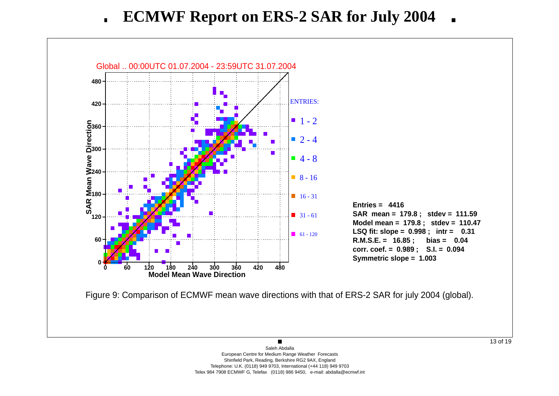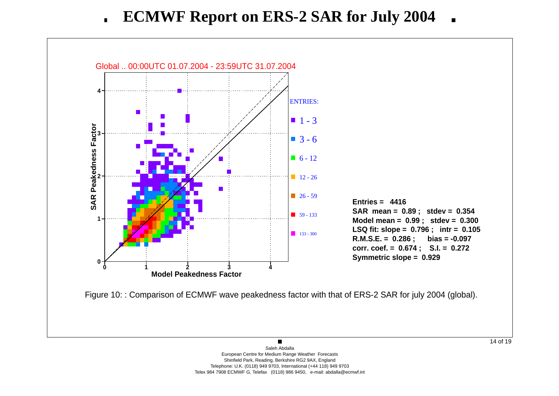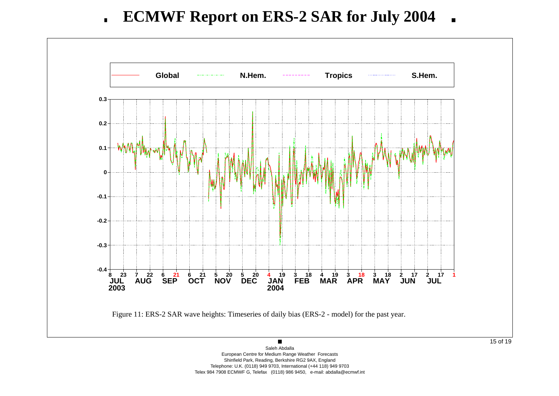

European Centre for Medium Range Weather Forecasts Shinfield Park, Reading, Berkshire RG2 9AX, England Telephone: U.K. (0118) 949 9703, International (+44 118) 949 9703 Telex 984 7908 ECMWF G, Telefax (0118) 986 9450, e-mail: abdalla@ecmwf.int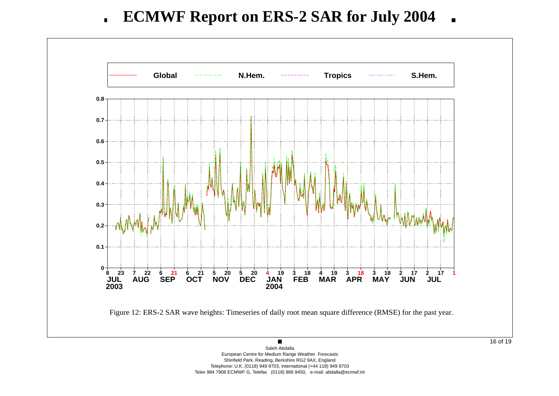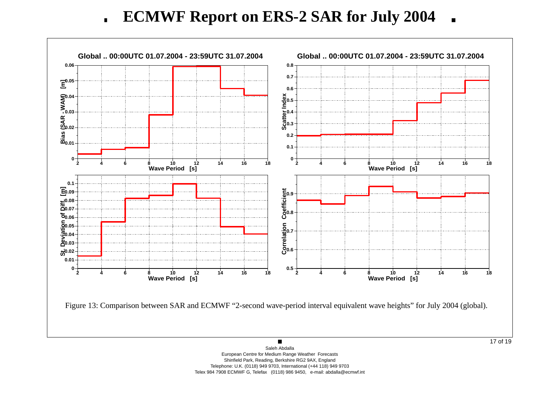**ECMWF Report on ERS-2 SAR for July 2004**  $\blacksquare$ 

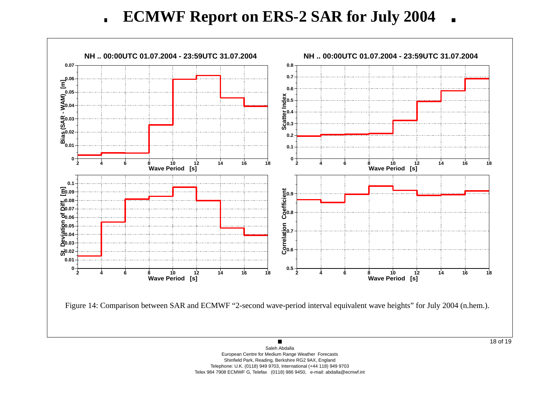**ECMWF Report on ERS-2 SAR for July 2004**  $\blacksquare$